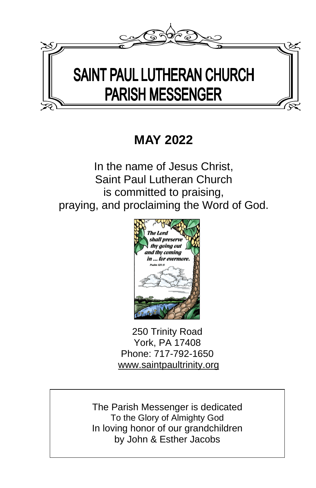

# **MAY 2022**

In the name of Jesus Christ, Saint Paul Lutheran Church is committed to praising, praying, and proclaiming the Word of God.



250 Trinity Road York, PA 17408 Phone: 717-792-1650 [www.saintpaultrinity.org](http://www.saintpaultrinity.org/)

The Parish Messenger is dedicated To the Glory of Almighty God In loving honor of our grandchildren by John & Esther Jacobs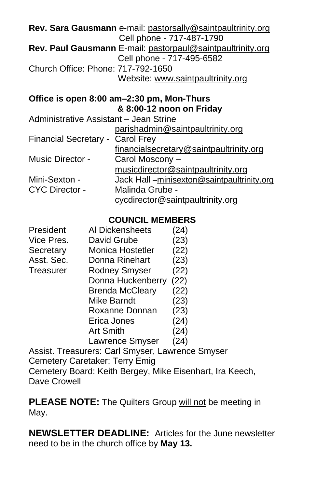|                                        | Rev. Sara Gausmann e-mail: pastorsally@saintpaultrinity.org |
|----------------------------------------|-------------------------------------------------------------|
|                                        | Cell phone - 717-487-1790                                   |
|                                        | Rev. Paul Gausmann E-mail: pastorpaul@saintpaultrinity.org  |
|                                        | Cell phone - 717-495-6582                                   |
| Church Office: Phone: 717-792-1650     |                                                             |
|                                        | Website: www.saintpaultrinity.org                           |
|                                        | Office is open 8:00 am-2:30 pm, Mon-Thurs                   |
|                                        | & 8:00-12 noon on Friday                                    |
| Administrative Assistant - Jean Strine |                                                             |
|                                        | parishadmin@saintpaultrinity.org                            |

|                                  | <u>Parisiaan mit Osan keaakin mit jiel g</u> |
|----------------------------------|----------------------------------------------|
| Financial Secretary - Carol Frey |                                              |
|                                  | financialsecretary@saintpaultrinity.org      |
| Music Director -                 | Carol Moscony -                              |
|                                  | musicdirector@saintpaultrinity.org           |
| Mini-Sexton -                    | Jack Hall-minisexton@saintpaultrinity.org    |
| <b>CYC Director -</b>            | Malinda Grube -                              |
|                                  | cycdirector@saintpaultrinity.org             |

#### **COUNCIL MEMBERS**

| President  | Al Dickensheets                | (24)   |
|------------|--------------------------------|--------|
| Vice Pres. | David Grube                    | (23)   |
| Secretary  | Monica Hostetler               | (22)   |
| Asst. Sec. | Donna Rinehart                 | (23)   |
| Treasurer  | <b>Rodney Smyser</b>           | (22)   |
|            | Donna Huckenberry              | (22)   |
|            | <b>Brenda McCleary</b>         | (22)   |
|            | <b>Mike Barndt</b>             | (23)   |
|            | Roxanne Donnan                 | (23)   |
|            | Erica Jones                    | (24)   |
|            | <b>Art Smith</b>               | (24)   |
|            | Lawrence Smyser                | (24)   |
|            | Apoint Tropourare: Carl Cmuser | $\sim$ |

Assist. Treasurers: Carl Smyser, Lawrence Smyser Cemetery Caretaker: Terry Emig Cemetery Board: Keith Bergey, Mike Eisenhart, Ira Keech, Dave Crowell

PLEASE NOTE: The Quilters Group will not be meeting in May.

**NEWSLETTER DEADLINE:** Articles for the June newsletter need to be in the church office by **May 13.**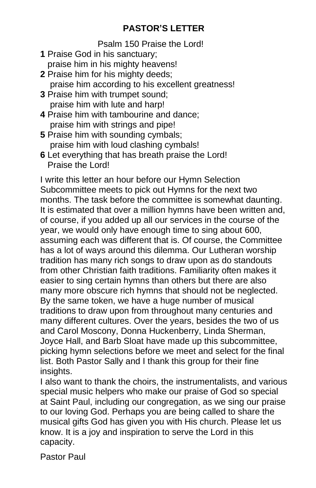# **PASTOR'S LETTER**

Psalm 150 Praise the Lord!

- **1** Praise God in his sanctuary; praise him in his mighty heavens!
- **2** Praise him for his mighty deeds; praise him according to his excellent greatness!
- **3** Praise him with trumpet sound; praise him with lute and harp!
- **4** Praise him with tambourine and dance; praise him with strings and pipe!
- **5** Praise him with sounding cymbals; praise him with loud clashing cymbals!
- **6** Let everything that has breath praise the Lord! Praise the Lord!

I write this letter an hour before our Hymn Selection Subcommittee meets to pick out Hymns for the next two months. The task before the committee is somewhat daunting. It is estimated that over a million hymns have been written and, of course, if you added up all our services in the course of the year, we would only have enough time to sing about 600, assuming each was different that is. Of course, the Committee has a lot of ways around this dilemma. Our Lutheran worship tradition has many rich songs to draw upon as do standouts from other Christian faith traditions. Familiarity often makes it easier to sing certain hymns than others but there are also many more obscure rich hymns that should not be neglected. By the same token, we have a huge number of musical traditions to draw upon from throughout many centuries and many different cultures. Over the years, besides the two of us and Carol Moscony, Donna Huckenberry, Linda Sherman, Joyce Hall, and Barb Sloat have made up this subcommittee, picking hymn selections before we meet and select for the final list. Both Pastor Sally and I thank this group for their fine insights.

I also want to thank the choirs, the instrumentalists, and various special music helpers who make our praise of God so special at Saint Paul, including our congregation, as we sing our praise to our loving God. Perhaps you are being called to share the musical gifts God has given you with His church. Please let us know. It is a joy and inspiration to serve the Lord in this capacity.

Pastor Paul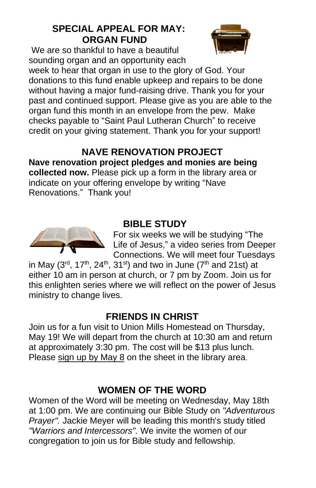# **SPECIAL APPEAL FOR MAY: ORGAN FUND**

We are so thankful to have a beautiful sounding organ and an opportunity each



week to hear that organ in use to the glory of God. Your donations to this fund enable upkeep and repairs to be done without having a major fund-raising drive. Thank you for your past and continued support. Please give as you are able to the organ fund this month in an envelope from the pew. Make checks payable to "Saint Paul Lutheran Church" to receive credit on your giving statement. Thank you for your support!

# **NAVE RENOVATION PROJECT**

**Nave renovation project pledges and monies are being collected now.** Please pick up a form in the library area or indicate on your offering envelope by writing "Nave Renovations." Thank you!



# **BIBLE STUDY**

For six weeks we will be studying "The Life of Jesus," a video series from Deeper Connections. We will meet four Tuesdays

in May (3<sup>rd</sup>, 17<sup>th</sup>, 24<sup>th</sup>, 31<sup>st</sup>) and two in June (7<sup>th</sup> and 21st) at either 10 am in person at church, or 7 pm by Zoom. Join us for this enlighten series where we will reflect on the power of Jesus ministry to change lives.

# **FRIENDS IN CHRIST**

Join us for a fun visit to Union Mills Homestead on Thursday, May 19! We will depart from the church at 10:30 am and return at approximately 3:30 pm. The cost will be \$13 plus lunch. Please sign up by May 8 on the sheet in the library area.

# **WOMEN OF THE WORD**

Women of the Word will be meeting on Wednesday, May 18th at 1:00 pm. We are continuing our Bible Study on *"Adventurous Prayer".* Jackie Meyer will be leading this month's study titled *"Warriors and Intercessors".* We invite the women of our congregation to join us for Bible study and fellowship.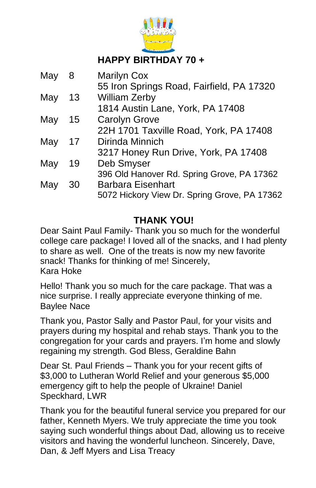

# **HAPPY BIRTHDAY 70 +**

| May | 8  | <b>Marilyn Cox</b>                           |
|-----|----|----------------------------------------------|
|     |    | 55 Iron Springs Road, Fairfield, PA 17320    |
| May | 13 | <b>William Zerby</b>                         |
|     |    | 1814 Austin Lane, York, PA 17408             |
| May | 15 | <b>Carolyn Grove</b>                         |
|     |    | 22H 1701 Taxville Road, York, PA 17408       |
| May | 17 | Dirinda Minnich                              |
|     |    | 3217 Honey Run Drive, York, PA 17408         |
| May | 19 | Deb Smyser                                   |
|     |    | 396 Old Hanover Rd. Spring Grove, PA 17362   |
| May | 30 | <b>Barbara Eisenhart</b>                     |
|     |    | 5072 Hickory View Dr. Spring Grove, PA 17362 |

# **THANK YOU!**

Dear Saint Paul Family- Thank you so much for the wonderful college care package! I loved all of the snacks, and I had plenty to share as well. One of the treats is now my new favorite snack! Thanks for thinking of me! Sincerely, Kara Hoke

Hello! Thank you so much for the care package. That was a nice surprise. I really appreciate everyone thinking of me. Baylee Nace

Thank you, Pastor Sally and Pastor Paul, for your visits and prayers during my hospital and rehab stays. Thank you to the congregation for your cards and prayers. I'm home and slowly regaining my strength. God Bless, Geraldine Bahn

Dear St. Paul Friends – Thank you for your recent gifts of \$3,000 to Lutheran World Relief and your generous \$5,000 emergency gift to help the people of Ukraine! Daniel Speckhard, LWR

Thank you for the beautiful funeral service you prepared for our father, Kenneth Myers. We truly appreciate the time you took saying such wonderful things about Dad, allowing us to receive visitors and having the wonderful luncheon. Sincerely, Dave, Dan, & Jeff Myers and Lisa Treacy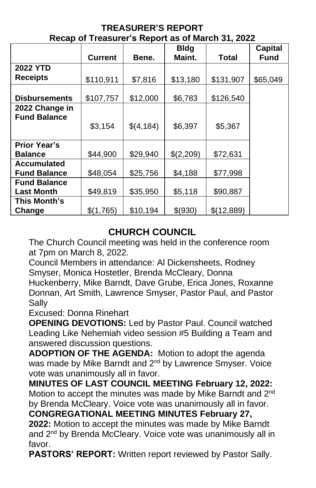|                      | <b>Current</b> | Bene.      | <b>Bldg</b><br>Maint. | <b>Total</b> | <b>Capital</b><br>Fund |
|----------------------|----------------|------------|-----------------------|--------------|------------------------|
| <b>2022 YTD</b>      |                |            |                       |              |                        |
| <b>Receipts</b>      | \$110,911      | \$7,816    | \$13,180              | \$131,907    | \$65,049               |
|                      |                |            |                       |              |                        |
| <b>Disbursements</b> | \$107,757      | \$12,000   | \$6,783               | \$126,540    |                        |
| 2022 Change in       |                |            |                       |              |                        |
| <b>Fund Balance</b>  |                |            |                       |              |                        |
|                      | \$3,154        | \$(4, 184) | \$6,397               | \$5,367      |                        |
|                      |                |            |                       |              |                        |
| <b>Prior Year's</b>  |                |            |                       |              |                        |
| Balance              | \$44,900       | \$29,940   | \$(2,209)             | \$72,631     |                        |
| <b>Accumulated</b>   |                |            |                       |              |                        |
| <b>Fund Balance</b>  | \$48,054       | \$25,756   | \$4,188               | \$77,998     |                        |
| <b>Fund Balance</b>  |                |            |                       |              |                        |
| <b>Last Month</b>    | \$49,819       | \$35,950   | \$5,118               | \$90,887     |                        |
| This Month's         |                |            |                       |              |                        |
| Change               | \$(1,765)      | \$10,194   | \$(930)               | \$(12,889)   |                        |

#### **TREASURER'S REPORT Recap of Treasurer's Report as of March 31, 2022**

# **CHURCH COUNCIL**

The Church Council meeting was held in the conference room at 7pm on March 8, 2022.

Council Members in attendance: Al Dickensheets, Rodney Smyser, Monica Hostetler, Brenda McCleary, Donna

Huckenberry, Mike Barndt, Dave Grube, Erica Jones, Roxanne Donnan, Art Smith, Lawrence Smyser, Pastor Paul, and Pastor Sally

Excused: Donna Rinehart

**OPENING DEVOTIONS:** Led by Pastor Paul. Council watched Leading Like Nehemiah video session #5 Building a Team and answered discussion questions.

**ADOPTION OF THE AGENDA:** Motion to adopt the agenda was made by Mike Barndt and 2<sup>nd</sup> by Lawrence Smyser. Voice vote was unanimously all in favor.

**MINUTES OF LAST COUNCIL MEETING February 12, 2022:**  Motion to accept the minutes was made by Mike Barndt and 2<sup>nd</sup> by Brenda McCleary. Voice vote was unanimously all in favor.

**CONGREGATIONAL MEETING MINUTES February 27, 2022:** Motion to accept the minutes was made by Mike Barndt and 2<sup>nd</sup> by Brenda McCleary. Voice vote was unanimously all in favor.

**PASTORS' REPORT:** Written report reviewed by Pastor Sally.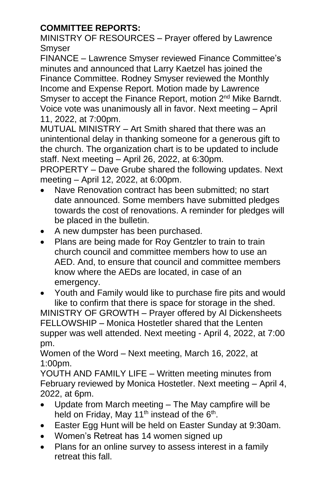# **COMMITTEE REPORTS:**

MINISTRY OF RESOURCES – Prayer offered by Lawrence Smyser

FINANCE – Lawrence Smyser reviewed Finance Committee's minutes and announced that Larry Kaetzel has joined the Finance Committee. Rodney Smyser reviewed the Monthly Income and Expense Report. Motion made by Lawrence Smyser to accept the Finance Report, motion 2<sup>nd</sup> Mike Barndt. Voice vote was unanimously all in favor. Next meeting – April 11, 2022, at 7:00pm.

MUTUAL MINISTRY – Art Smith shared that there was an unintentional delay in thanking someone for a generous gift to the church. The organization chart is to be updated to include staff. Next meeting – April 26, 2022, at 6:30pm.

PROPERTY – Dave Grube shared the following updates. Next meeting – April 12, 2022, at 6:00pm.

- Nave Renovation contract has been submitted; no start date announced. Some members have submitted pledges towards the cost of renovations. A reminder for pledges will be placed in the bulletin.
- A new dumpster has been purchased.
- Plans are being made for Roy Gentzler to train to train church council and committee members how to use an AED. And, to ensure that council and committee members know where the AEDs are located, in case of an emergency.
- Youth and Family would like to purchase fire pits and would like to confirm that there is space for storage in the shed.

MINISTRY OF GROWTH – Prayer offered by Al Dickensheets FELLOWSHIP – Monica Hostetler shared that the Lenten supper was well attended. Next meeting - April 4, 2022, at 7:00 pm.

Women of the Word – Next meeting, March 16, 2022, at 1:00pm.

YOUTH AND FAMILY LIFE – Written meeting minutes from February reviewed by Monica Hostetler. Next meeting – April 4, 2022, at 6pm.

- Update from March meeting The May campfire will be held on Friday, May 11<sup>th</sup> instead of the  $6<sup>th</sup>$ .
- Easter Egg Hunt will be held on Easter Sunday at 9:30am.
- Women's Retreat has 14 women signed up
- Plans for an online survey to assess interest in a family retreat this fall.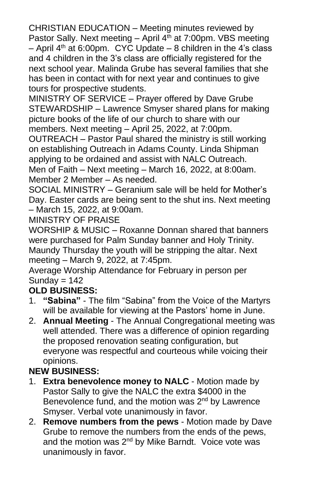CHRISTIAN EDUCATION – Meeting minutes reviewed by Pastor Sally. Next meeting  $-$  April  $4<sup>th</sup>$  at 7:00pm. VBS meeting – April  $4<sup>th</sup>$  at 6:00pm. CYC Update – 8 children in the 4's class and 4 children in the 3's class are officially registered for the next school year. Malinda Grube has several families that she has been in contact with for next year and continues to give tours for prospective students.

MINISTRY OF SERVICE – Prayer offered by Dave Grube STEWARDSHIP – Lawrence Smyser shared plans for making picture books of the life of our church to share with our members. Next meeting – April 25, 2022, at 7:00pm.

OUTREACH – Pastor Paul shared the ministry is still working on establishing Outreach in Adams County. Linda Shipman applying to be ordained and assist with NALC Outreach.

Men of Faith – Next meeting – March 16, 2022, at 8:00am. Member 2 Member – As needed.

SOCIAL MINISTRY – Geranium sale will be held for Mother's Day. Easter cards are being sent to the shut ins. Next meeting – March 15, 2022, at 9:00am.

MINISTRY OF PRAISE

WORSHIP & MUSIC – Roxanne Donnan shared that banners were purchased for Palm Sunday banner and Holy Trinity. Maundy Thursday the youth will be stripping the altar. Next meeting – March 9, 2022, at 7:45pm.

Average Worship Attendance for February in person per Sunday  $= 142$ 

# **OLD BUSINESS:**

- 1. **"Sabina"** The film "Sabina" from the Voice of the Martyrs will be available for viewing at the Pastors' home in June.
- 2. **Annual Meeting** The Annual Congregational meeting was well attended. There was a difference of opinion regarding the proposed renovation seating configuration, but everyone was respectful and courteous while voicing their opinions.

# **NEW BUSINESS:**

- 1. **Extra benevolence money to NALC** Motion made by Pastor Sally to give the NALC the extra \$4000 in the Benevolence fund, and the motion was 2<sup>nd</sup> by Lawrence Smyser. Verbal vote unanimously in favor.
- 2. **Remove numbers from the pews** Motion made by Dave Grube to remove the numbers from the ends of the pews, and the motion was 2<sup>nd</sup> by Mike Barndt. Voice vote was unanimously in favor.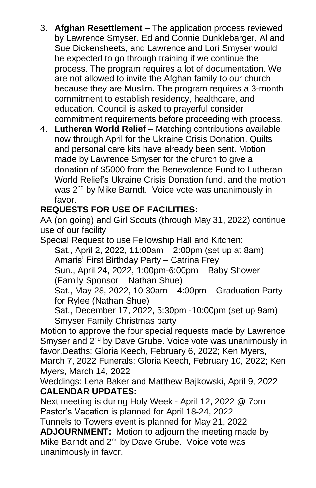- 3. **Afghan Resettlement** The application process reviewed by Lawrence Smyser. Ed and Connie Dunklebarger, Al and Sue Dickensheets, and Lawrence and Lori Smyser would be expected to go through training if we continue the process. The program requires a lot of documentation. We are not allowed to invite the Afghan family to our church because they are Muslim. The program requires a 3-month commitment to establish residency, healthcare, and education. Council is asked to prayerful consider commitment requirements before proceeding with process.
- 4. **Lutheran World Relief** Matching contributions available now through April for the Ukraine Crisis Donation. Quilts and personal care kits have already been sent. Motion made by Lawrence Smyser for the church to give a donation of \$5000 from the Benevolence Fund to Lutheran World Relief's Ukraine Crisis Donation fund, and the motion was 2<sup>nd</sup> by Mike Barndt. Voice vote was unanimously in favor.

### **REQUESTS FOR USE OF FACILITIES:**

AA (on going) and Girl Scouts (through May 31, 2022) continue use of our facility

Special Request to use Fellowship Hall and Kitchen:

Sat., April 2, 2022, 11:00am – 2:00pm (set up at 8am) – Amaris' First Birthday Party – Catrina Frey Sun., April 24, 2022, 1:00pm-6:00pm – Baby Shower (Family Sponsor – Nathan Shue) Sat., May 28, 2022, 10:30am – 4:00pm – Graduation Party for Rylee (Nathan Shue)

Sat., December 17, 2022, 5:30pm -10:00pm (set up 9am) – Smyser Family Christmas party

Motion to approve the four special requests made by Lawrence Smyser and 2<sup>nd</sup> by Dave Grube. Voice vote was unanimously in favor.Deaths: Gloria Keech, February 6, 2022; Ken Myers, March 7, 2022 Funerals: Gloria Keech, February 10, 2022; Ken Myers, March 14, 2022

Weddings: Lena Baker and Matthew Bajkowski, April 9, 2022 **CALENDAR UPDATES:**

Next meeting is during Holy Week - April 12, 2022 @ 7pm Pastor's Vacation is planned for April 18-24, 2022

Tunnels to Towers event is planned for May 21, 2022

**ADJOURNMENT:** Motion to adjourn the meeting made by Mike Barndt and 2<sup>nd</sup> by Dave Grube. Voice vote was unanimously in favor.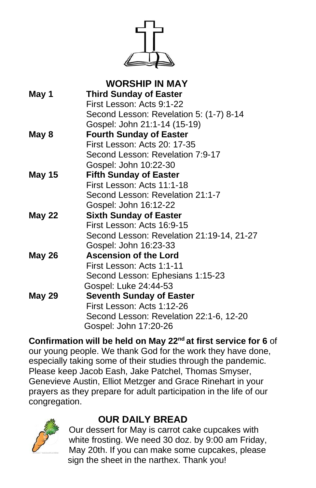

| <b>WORSHIP IN MAY</b>                     |
|-------------------------------------------|
| <b>Third Sunday of Easter</b>             |
| First Lesson: Acts 9:1-22                 |
| Second Lesson: Revelation 5: (1-7) 8-14   |
| Gospel: John 21:1-14 (15-19)              |
| <b>Fourth Sunday of Easter</b>            |
| First Lesson: Acts 20: 17-35              |
| Second Lesson: Revelation 7:9-17          |
| Gospel: John 10:22-30                     |
| <b>Fifth Sunday of Easter</b>             |
| First Lesson: Acts 11:1-18                |
| Second Lesson: Revelation 21:1-7          |
| Gospel: John 16:12-22                     |
| <b>Sixth Sunday of Easter</b>             |
| First Lesson: Acts 16:9-15                |
| Second Lesson: Revelation 21:19-14, 21-27 |
| Gospel: John 16:23-33                     |
| <b>Ascension of the Lord</b>              |
| First Lesson: Acts 1:1-11                 |
| Second Lesson: Ephesians 1:15-23          |
| Gospel: Luke 24:44-53                     |
| <b>Seventh Sunday of Easter</b>           |
| First Lesson: Acts 1:12-26                |
| Second Lesson: Revelation 22:1-6, 12-20   |
| Gospel: John 17:20-26                     |
|                                           |

**Confirmation will be held on May 22nd at first service for 6** of our young people. We thank God for the work they have done, especially taking some of their studies through the pandemic. Please keep Jacob Eash, Jake Patchel, Thomas Smyser, Genevieve Austin, Elliot Metzger and Grace Rinehart in your prayers as they prepare for adult participation in the life of our congregation.



# **OUR DAILY BREAD**

Our dessert for May is carrot cake cupcakes with white frosting. We need 30 doz. by 9:00 am Friday, May 20th. If you can make some cupcakes, please sign the sheet in the narthex. Thank you!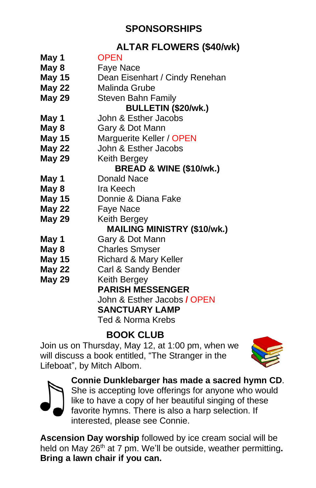# **SPONSORSHIPS**

# **ALTAR FLOWERS (\$40/wk)**

**May 1** OPEN **May 8** Faye Nace **May 15** Dean Eisenhart / Cindy Renehan **May 22** Malinda Grube **May 29** Steven Bahn Family **BULLETIN (\$20/wk.) May 1** John & Esther Jacobs **May 8** Gary & Dot Mann **May 15** Marguerite Keller / OPEN **May 22** John & Esther Jacobs **May 29** Keith Bergey **BREAD & WINE (\$10/wk.) May 1** Donald Nace **May 8** Ira Keech **May 15** Donnie & Diana Fake **May 22** Faye Nace **May 29** Keith Bergey **MAILING MINISTRY (\$10/wk.) May 1** Gary & Dot Mann **May 8** Charles Smyser **May 15** Richard & Mary Keller **May 22** Carl & Sandy Bender **May 29** Keith Bergey **PARISH MESSENGER** John & Esther Jacobs **/** OPEN **SANCTUARY LAMP** Ted & Norma Krebs

# **BOOK CLUB**

Join us on Thursday, May 12, at 1:00 pm, when we will discuss a book entitled, "The Stranger in the Lifeboat", by Mitch Albom.





**Connie Dunklebarger has made a sacred hymn CD**. She is accepting love offerings for anyone who would like to have a copy of her beautiful singing of these favorite hymns. There is also a harp selection. If interested, please see Connie.

**Ascension Day worship** followed by ice cream social will be held on May 26th at 7 pm. We'll be outside, weather permitting**. Bring a lawn chair if you can.**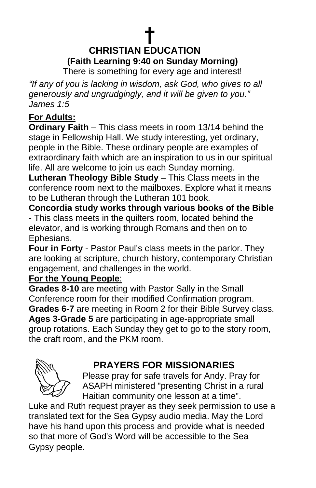# **† CHRISTIAN EDUCATION (Faith Learning 9:40 on Sunday Morning)**

There is something for every age and interest!

*"If any of you is lacking in wisdom, ask God, who gives to all generously and ungrudgingly, and it will be given to you." James 1:5*

# **For Adults:**

**Ordinary Faith** – This class meets in room 13/14 behind the stage in Fellowship Hall. We study interesting, yet ordinary, people in the Bible. These ordinary people are examples of extraordinary faith which are an inspiration to us in our spiritual life. All are welcome to join us each Sunday morning.

**Lutheran Theology Bible Study** – This Class meets in the conference room next to the mailboxes. Explore what it means to be Lutheran through the Lutheran 101 book.

**Concordia study works through various books of the Bible** - This class meets in the quilters room, located behind the elevator, and is working through Romans and then on to Ephesians.

**Four in Forty** - Pastor Paul's class meets in the parlor. They are looking at scripture, church history, contemporary Christian engagement, and challenges in the world.

### **For the Young People**:

**Grades 8-10** are meeting with Pastor Sally in the Small Conference room for their modified Confirmation program. **Grades 6-7** are meeting in Room 2 for their Bible Survey class. **Ages 3-Grade 5** are participating in age-appropriate small group rotations. Each Sunday they get to go to the story room, the craft room, and the PKM room.



# **PRAYERS FOR MISSIONARIES**

Please pray for safe travels for Andy. Pray for ASAPH ministered "presenting Christ in a rural Haitian community one lesson at a time".

Luke and Ruth request prayer as they seek permission to use a translated text for the Sea Gypsy audio media. May the Lord have his hand upon this process and provide what is needed so that more of God's Word will be accessible to the Sea Gypsy people.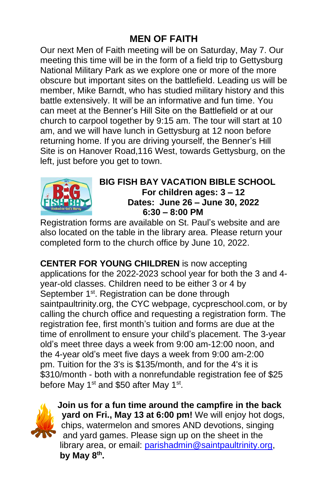# **MEN OF FAITH**

Our next Men of Faith meeting will be on Saturday, May 7. Our meeting this time will be in the form of a field trip to Gettysburg National Military Park as we explore one or more of the more obscure but important sites on the battlefield. Leading us will be member, Mike Barndt, who has studied military history and this battle extensively. It will be an informative and fun time. You can meet at the Benner's Hill Site on the Battlefield or at our church to carpool together by 9:15 am. The tour will start at 10 am, and we will have lunch in Gettysburg at 12 noon before returning home. If you are driving yourself, the Benner's Hill Site is on Hanover Road,116 West, towards Gettysburg, on the left, just before you get to town.



#### **BIG FISH BAY VACATION BIBLE SCHOOL For children ages: 3 – 12 Dates: June 26 – June 30, 2022 6:30 – 8:00 PM**

Registration forms are available on St. Paul's website and are also located on the table in the library area. Please return your completed form to the church office by June 10, 2022.

**CENTER FOR YOUNG CHILDREN** is now accepting applications for the 2022-2023 school year for both the 3 and 4 year-old classes. Children need to be either 3 or 4 by September 1<sup>st</sup>. Registration can be done through saintpaultrinity.org, the CYC webpage, cycpreschool.com, or by calling the church office and requesting a registration form. The registration fee, first month's tuition and forms are due at the time of enrollment to ensure your child's placement. The 3-year old's meet three days a week from 9:00 am-12:00 noon, and the 4-year old's meet five days a week from 9:00 am-2:00 pm. Tuition for the 3's is \$135/month, and for the 4's it is \$310/month - both with a nonrefundable registration fee of \$25 before May 1<sup>st</sup> and \$50 after May 1<sup>st</sup>.



**Join us for a fun time around the campfire in the back yard on Fri., May 13 at 6:00 pm!** We will enjoy hot dogs, chips, watermelon and smores AND devotions, singing and yard games. Please sign up on the sheet in the library area, or email: [parishadmin@saintpaultrinity.org,](mailto:parishadmin@saintpaultrinity.org) **by May 8th .**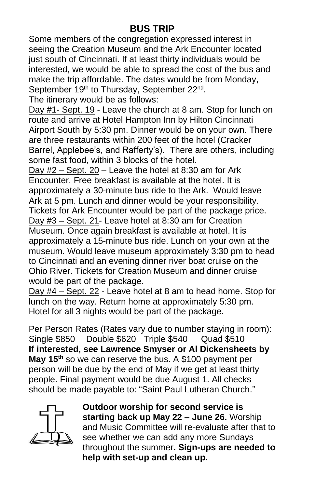# **BUS TRIP**

Some members of the congregation expressed interest in seeing the Creation Museum and the Ark Encounter located just south of Cincinnati. If at least thirty individuals would be interested, we would be able to spread the cost of the bus and make the trip affordable. The dates would be from Monday, September 19<sup>th</sup> to Thursday, September 22<sup>nd</sup>.

The itinerary would be as follows:

Day #1- Sept. 19 - Leave the church at 8 am. Stop for lunch on route and arrive at Hotel Hampton Inn by Hilton Cincinnati Airport South by 5:30 pm. Dinner would be on your own. There are three restaurants within 200 feet of the hotel (Cracker Barrel, Applebee's, and Rafferty's). There are others, including some fast food, within 3 blocks of the hotel.

Day #2 – Sept. 20 – Leave the hotel at 8:30 am for Ark Encounter. Free breakfast is available at the hotel. It is approximately a 30-minute bus ride to the Ark. Would leave Ark at 5 pm. Lunch and dinner would be your responsibility. Tickets for Ark Encounter would be part of the package price. Day #3 – Sept. 21- Leave hotel at 8:30 am for Creation Museum. Once again breakfast is available at hotel. It is approximately a 15-minute bus ride. Lunch on your own at the museum. Would leave museum approximately 3:30 pm to head to Cincinnati and an evening dinner river boat cruise on the Ohio River. Tickets for Creation Museum and dinner cruise would be part of the package.

Day #4 – Sept. 22 - Leave hotel at 8 am to head home. Stop for lunch on the way. Return home at approximately 5:30 pm. Hotel for all 3 nights would be part of the package.

Per Person Rates (Rates vary due to number staying in room): Single \$850 Double \$620 Triple \$540 Quad \$510 **If interested, see Lawrence Smyser or Al Dickensheets by May 15th** so we can reserve the bus. A \$100 payment per person will be due by the end of May if we get at least thirty people. Final payment would be due August 1. All checks should be made payable to: "Saint Paul Lutheran Church."



**Outdoor worship for second service is starting back up May 22 – June 26.** Worship and Music Committee will re-evaluate after that to see whether we can add any more Sundays throughout the summer**. Sign-ups are needed to help with set-up and clean up.**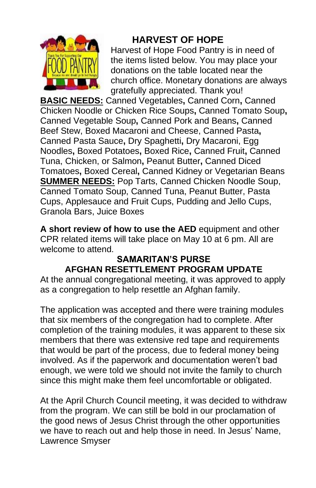

# **HARVEST OF HOPE**

Harvest of Hope Food Pantry is in need of the items listed below. You may place your donations on the table located near the church office. Monetary donations are always gratefully appreciated. Thank you!

**BASIC NEEDS:** Canned Vegetables**,** Canned Corn**,** Canned Chicken Noodle or Chicken Rice Soups**,** Canned Tomato Soup**,**  Canned Vegetable Soup**,** Canned Pork and Beans**,** Canned Beef Stew, Boxed Macaroni and Cheese, Canned Pasta**,**  Canned Pasta Sauce**,** Dry Spaghetti**,** Dry Macaroni, Egg Noodles**,** Boxed Potatoes**,** Boxed Rice**,** Canned Fruit**,** Canned Tuna, Chicken, or Salmon**,** Peanut Butter**,** Canned Diced Tomatoes**,** Boxed Cereal**,** Canned Kidney or Vegetarian Beans **SUMMER NEEDS:** Pop Tarts, Canned Chicken Noodle Soup, Canned Tomato Soup, Canned Tuna, Peanut Butter, Pasta Cups, Applesauce and Fruit Cups, Pudding and Jello Cups, Granola Bars, Juice Boxes

**A short review of how to use the AED** equipment and other CPR related items will take place on May 10 at 6 pm. All are welcome to attend.

#### **SAMARITAN'S PURSE AFGHAN RESETTLEMENT PROGRAM UPDATE**

At the annual congregational meeting, it was approved to apply as a congregation to help resettle an Afghan family.

The application was accepted and there were training modules that six members of the congregation had to complete. After completion of the training modules, it was apparent to these six members that there was extensive red tape and requirements that would be part of the process, due to federal money being involved. As if the paperwork and documentation weren't bad enough, we were told we should not invite the family to church since this might make them feel uncomfortable or obligated.

At the April Church Council meeting, it was decided to withdraw from the program. We can still be bold in our proclamation of the good news of Jesus Christ through the other opportunities we have to reach out and help those in need. In Jesus' Name, Lawrence Smyser